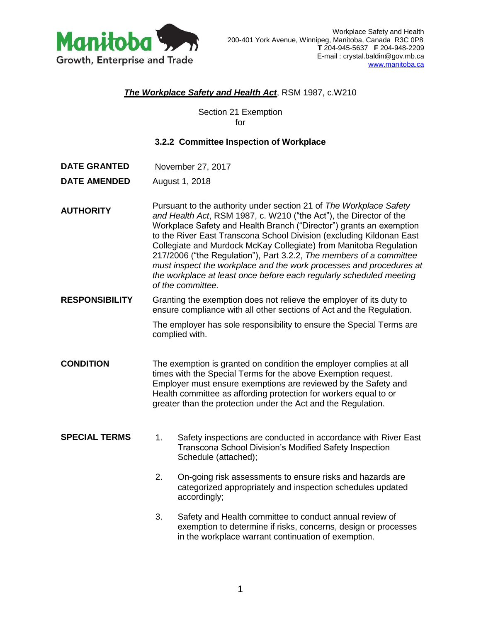

## *The Workplace Safety and Health Act*, RSM 1987, c.W210

Section 21 Exemption for

## **3.2.2 Committee Inspection of Workplace**

**DATE GRANTED** November 27, 2017

**DATE AMENDED** August 1, 2018

**AUTHORITY** Pursuant to the authority under section 21 of *The Workplace Safety and Health Act*, RSM 1987, c. W210 ("the Act"), the Director of the Workplace Safety and Health Branch ("Director") grants an exemption to the River East Transcona School Division (excluding Kildonan East Collegiate and Murdock McKay Collegiate) from Manitoba Regulation 217/2006 ("the Regulation"), Part 3.2.2, *The members of a committee must inspect the workplace and the work processes and procedures at the workplace at least once before each regularly scheduled meeting of the committee.*

**RESPONSIBILITY** Granting the exemption does not relieve the employer of its duty to ensure compliance with all other sections of Act and the Regulation.

> The employer has sole responsibility to ensure the Special Terms are complied with.

- **CONDITION** The exemption is granted on condition the employer complies at all times with the Special Terms for the above Exemption request. Employer must ensure exemptions are reviewed by the Safety and Health committee as affording protection for workers equal to or greater than the protection under the Act and the Regulation.
- **SPECIAL TERMS** 1. Safety inspections are conducted in accordance with River East Transcona School Division's Modified Safety Inspection Schedule (attached);
	- 2. On-going risk assessments to ensure risks and hazards are categorized appropriately and inspection schedules updated accordingly;
	- 3. Safety and Health committee to conduct annual review of exemption to determine if risks, concerns, design or processes in the workplace warrant continuation of exemption.